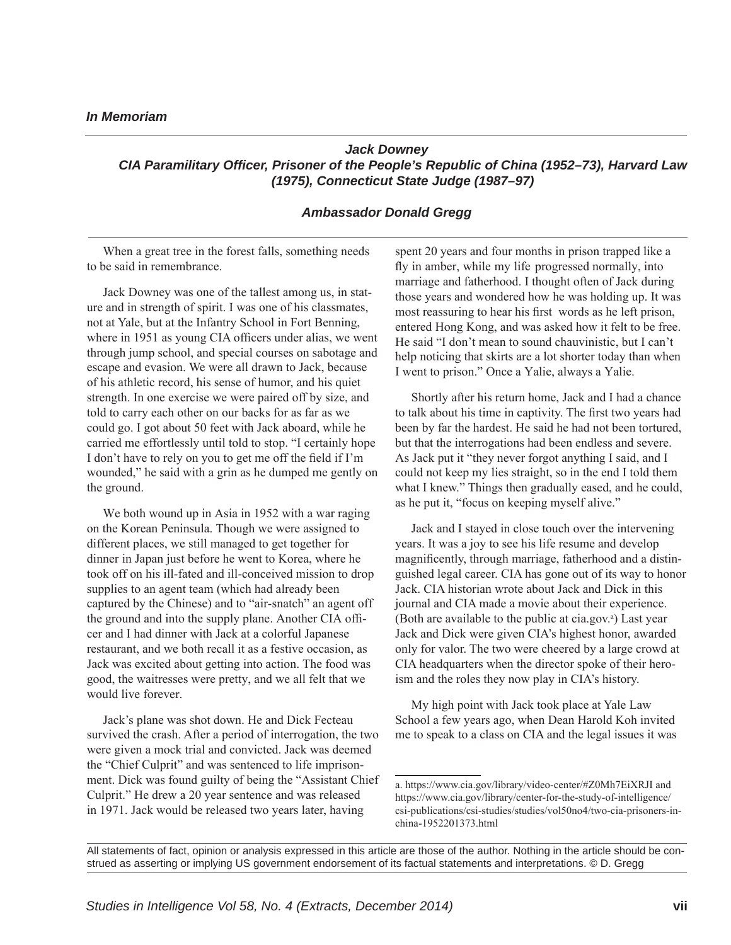## *Jack Downey CIA Paramilitary Officer, Prisoner of the People's Republic of China (1952–73), Harvard Law (1975), Connecticut State Judge (1987–97)*

## *Ambassador Donald Gregg*

When a great tree in the forest falls, something needs to be said in remembrance.

Jack Downey was one of the tallest among us, in stature and in strength of spirit. I was one of his classmates, not at Yale, but at the Infantry School in Fort Benning, where in 1951 as young CIA officers under alias, we went through jump school, and special courses on sabotage and escape and evasion. We were all drawn to Jack, because of his athletic record, his sense of humor, and his quiet strength. In one exercise we were paired off by size, and told to carry each other on our backs for as far as we could go. I got about 50 feet with Jack aboard, while he carried me effortlessly until told to stop. "I certainly hope I don't have to rely on you to get me off the field if I'm wounded," he said with a grin as he dumped me gently on the ground.

We both wound up in Asia in 1952 with a war raging on the Korean Peninsula. Though we were assigned to different places, we still managed to get together for dinner in Japan just before he went to Korea, where he took off on his ill-fated and ill-conceived mission to drop supplies to an agent team (which had already been captured by the Chinese) and to "air-snatch" an agent off the ground and into the supply plane. Another CIA officer and I had dinner with Jack at a colorful Japanese restaurant, and we both recall it as a festive occasion, as Jack was excited about getting into action. The food was good, the waitresses were pretty, and we all felt that we would live forever.

Jack's plane was shot down. He and Dick Fecteau survived the crash. After a period of interrogation, the two were given a mock trial and convicted. Jack was deemed the "Chief Culprit" and was sentenced to life imprisonment. Dick was found guilty of being the "Assistant Chief Culprit." He drew a 20 year sentence and was released in 1971. Jack would be released two years later, having

spent 20 years and four months in prison trapped like a fly in amber, while my life progressed normally, into marriage and fatherhood. I thought often of Jack during those years and wondered how he was holding up. It was most reassuring to hear his first words as he left prison, entered Hong Kong, and was asked how it felt to be free. He said "I don't mean to sound chauvinistic, but I can't help noticing that skirts are a lot shorter today than when I went to prison." Once a Yalie, always a Yalie.

Shortly after his return home, Jack and I had a chance to talk about his time in captivity. The first two years had been by far the hardest. He said he had not been tortured, but that the interrogations had been endless and severe. As Jack put it "they never forgot anything I said, and I could not keep my lies straight, so in the end I told them what I knew." Things then gradually eased, and he could, as he put it, "focus on keeping myself alive."

Jack and I stayed in close touch over the intervening years. It was a joy to see his life resume and develop magnificently, through marriage, fatherhood and a distinguished legal career. CIA has gone out of its way to honor Jack. CIA historian wrote about Jack and Dick in this journal and CIA made a movie about their experience. (Both are available to the public at cia.gov.<sup>a</sup>) Last year Jack and Dick were given CIA's highest honor, awarded only for valor. The two were cheered by a large crowd at CIA headquarters when the director spoke of their heroism and the roles they now play in CIA's history.

My high point with Jack took place at Yale Law School a few years ago, when Dean Harold Koh invited me to speak to a class on CIA and the legal issues it was

a. https://www.cia.gov/library/video-center/#Z0Mh7EiXRJI and https://www.cia.gov/library/center-for-the-study-of-intelligence/ csi-publications/csi-studies/studies/vol50no4/two-cia-prisoners-inchina-1952201373.html

All statements of fact, opinion or analysis expressed in this article are those of the author. Nothing in the article should be construed as asserting or implying US government endorsement of its factual statements and interpretations. © D. Gregg